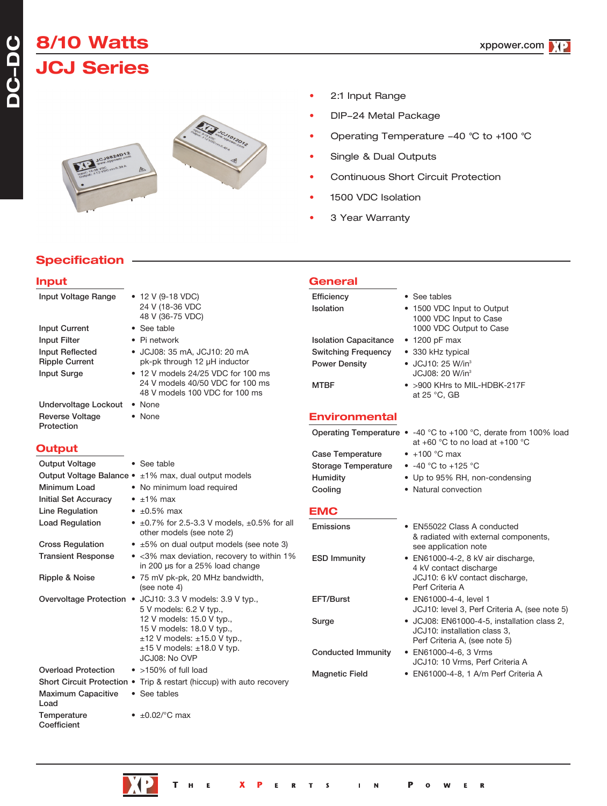## **8/10 Watts JCJ Series**



- 2:1 Input Range
- DIP-24 Metal Package
- Operating Temperature -40 °C to +100 °C
- Single & Dual Outputs
- Continuous Short Circuit Protection
- 1500 VDC Isolation
- 3 Year Warranty

**General**

## **Specification**

### **Input**

**DC-DC**

| Input Voltage Range         | $\bullet$ 12 V (9-18 VDC)                                                            | Efficiency                   | • See tables                                                                                                    |
|-----------------------------|--------------------------------------------------------------------------------------|------------------------------|-----------------------------------------------------------------------------------------------------------------|
|                             | 24 V (18-36 VDC                                                                      | Isolation                    | • 1500 VDC Input to Output                                                                                      |
|                             | 48 V (36-75 VDC)                                                                     |                              | 1000 VDC Input to Case                                                                                          |
| <b>Input Current</b>        | • See table                                                                          |                              | 1000 VDC Output to Case                                                                                         |
| Input Filter                | • Pi network                                                                         | <b>Isolation Capacitance</b> | $\cdot$ 1200 pF max                                                                                             |
| Input Reflected             | • JCJ08: 35 mA, JCJ10: 20 mA                                                         | <b>Switching Frequency</b>   | • 330 kHz typical                                                                                               |
| <b>Ripple Current</b>       | pk-pk through 12 µH inductor                                                         | Power Density                | • JCJ10: 25 W/in <sup>3</sup>                                                                                   |
| <b>Input Surge</b>          | • 12 V models 24/25 VDC for 100 ms<br>24 V models 40/50 VDC for 100 ms               |                              | JCJ08: 20 W/in <sup>3</sup>                                                                                     |
|                             | 48 V models 100 VDC for 100 ms                                                       | <b>MTBF</b>                  | • >900 KHrs to MIL-HDBK-217F<br>at 25 °C, GB                                                                    |
| Undervoltage Lockout . None |                                                                                      |                              |                                                                                                                 |
| <b>Reverse Voltage</b>      | • None                                                                               | <b>Environmental</b>         |                                                                                                                 |
| Protection                  |                                                                                      |                              |                                                                                                                 |
|                             |                                                                                      |                              | Operating Temperature $\bullet$ -40 °C to +100 °C, derate from 100% load<br>at $+60$ °C to no load at $+100$ °C |
| <b>Output</b>               |                                                                                      | <b>Case Temperature</b>      | $\bullet$ +100 °C max                                                                                           |
| <b>Output Voltage</b>       | • See table                                                                          | Storage Temperature          | • $-40$ °C to $+125$ °C                                                                                         |
|                             | Output Voltage Balance • ±1% max, dual output models                                 | Humidity                     | • Up to 95% RH, non-condensing                                                                                  |
| Minimum Load                | • No minimum load required                                                           | Cooling                      | • Natural convection                                                                                            |
| <b>Initial Set Accuracy</b> | $\bullet$ $\pm$ 1% max                                                               |                              |                                                                                                                 |
| Line Regulation             | $\cdot$ ±0.5% max                                                                    | <b>EMC</b>                   |                                                                                                                 |
| <b>Load Regulation</b>      | • $\pm 0.7\%$ for 2.5-3.3 V models, $\pm 0.5\%$ for all                              | Emissions                    | • EN55022 Class A conducted                                                                                     |
|                             | other models (see note 2)                                                            |                              | & radiated with external components,                                                                            |
| <b>Cross Regulation</b>     | • ±5% on dual output models (see note 3)                                             |                              | see application note                                                                                            |
| <b>Transient Response</b>   | • <3% max deviation, recovery to within 1%                                           | <b>ESD Immunity</b>          | • EN61000-4-2, 8 kV air discharge,                                                                              |
|                             | in 200 µs for a 25% load change                                                      |                              | 4 kV contact discharge                                                                                          |
| Ripple & Noise              | • 75 mV pk-pk, 20 MHz bandwidth,                                                     |                              | JCJ10: 6 kV contact discharge,<br>Perf Criteria A                                                               |
|                             | (see note 4)                                                                         |                              |                                                                                                                 |
|                             | Overvoltage Protection • JCJ10: 3.3 V models: 3.9 V typ.,<br>5 V models: 6.2 V typ., | EFT/Burst                    | • EN61000-4-4, level 1<br>JCJ10: level 3, Perf Criteria A, (see note 5)                                         |
|                             | 12 V models: 15.0 V typ.,                                                            | Surge                        | • JCJ08: EN61000-4-5, installation class 2,                                                                     |
|                             | 15 V models: 18.0 V typ.,                                                            |                              | JCJ10: installation class 3,                                                                                    |
|                             | $\pm 12$ V models: $\pm 15.0$ V typ.,                                                |                              | Perf Criteria A, (see note 5)                                                                                   |
|                             | $\pm 15$ V models: $\pm 18.0$ V typ.<br>JCJ08: No OVP                                | <b>Conducted Immunity</b>    | • EN61000-4-6, 3 Vrms                                                                                           |
| <b>Overload Protection</b>  | $\bullet$ >150% of full load                                                         |                              | JCJ10: 10 Vrms, Perf Criteria A                                                                                 |
|                             | Short Circuit Protection . Trip & restart (hiccup) with auto recovery                | <b>Magnetic Field</b>        | • EN61000-4-8, 1 A/m Perf Criteria A                                                                            |
| <b>Maximum Capacitive</b>   | • See tables                                                                         |                              |                                                                                                                 |
| Load                        |                                                                                      |                              |                                                                                                                 |
| Temperature                 | $\bullet$ ±0.02/ $\degree$ C max                                                     |                              |                                                                                                                 |
| Coefficient                 |                                                                                      |                              |                                                                                                                 |